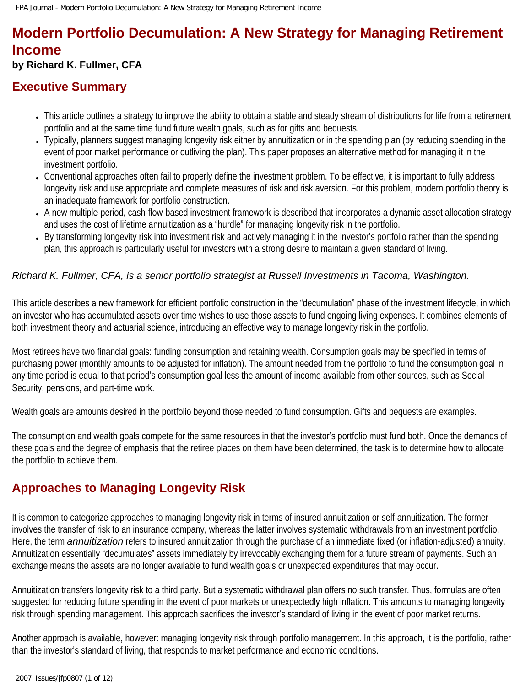#### **by Richard K. Fullmer, CFA**

### **Executive Summary**

- This article outlines a strategy to improve the ability to obtain a stable and steady stream of distributions for life from a retirement portfolio and at the same time fund future wealth goals, such as for gifts and bequests.
- Typically, planners suggest managing longevity risk either by annuitization or in the spending plan (by reducing spending in the event of poor market performance or outliving the plan). This paper proposes an alternative method for managing it in the investment portfolio.
- Conventional approaches often fail to properly define the investment problem. To be effective, it is important to fully address longevity risk and use appropriate and complete measures of risk and risk aversion. For this problem, modern portfolio theory is an inadequate framework for portfolio construction.
- A new multiple-period, cash-flow-based investment framework is described that incorporates a dynamic asset allocation strategy and uses the cost of lifetime annuitization as a "hurdle" for managing longevity risk in the portfolio.
- By transforming longevity risk into investment risk and actively managing it in the investor's portfolio rather than the spending plan, this approach is particularly useful for investors with a strong desire to maintain a given standard of living.

#### *Richard K. Fullmer, CFA, is a senior portfolio strategist at Russell Investments in Tacoma, Washington.*

This article describes a new framework for efficient portfolio construction in the "decumulation" phase of the investment lifecycle, in which an investor who has accumulated assets over time wishes to use those assets to fund ongoing living expenses. It combines elements of both investment theory and actuarial science, introducing an effective way to manage longevity risk in the portfolio.

Most retirees have two financial goals: funding consumption and retaining wealth. Consumption goals may be specified in terms of purchasing power (monthly amounts to be adjusted for inflation). The amount needed from the portfolio to fund the consumption goal in any time period is equal to that period's consumption goal less the amount of income available from other sources, such as Social Security, pensions, and part-time work.

Wealth goals are amounts desired in the portfolio beyond those needed to fund consumption. Gifts and bequests are examples.

The consumption and wealth goals compete for the same resources in that the investor's portfolio must fund both. Once the demands of these goals and the degree of emphasis that the retiree places on them have been determined, the task is to determine how to allocate the portfolio to achieve them.

# **Approaches to Managing Longevity Risk**

It is common to categorize approaches to managing longevity risk in terms of insured annuitization or self-annuitization. The former involves the transfer of risk to an insurance company, whereas the latter involves systematic withdrawals from an investment portfolio. Here, the term *annuitization* refers to insured annuitization through the purchase of an immediate fixed (or inflation-adjusted) annuity. Annuitization essentially "decumulates" assets immediately by irrevocably exchanging them for a future stream of payments. Such an exchange means the assets are no longer available to fund wealth goals or unexpected expenditures that may occur.

Annuitization transfers longevity risk to a third party. But a systematic withdrawal plan offers no such transfer. Thus, formulas are often suggested for reducing future spending in the event of poor markets or unexpectedly high inflation. This amounts to managing longevity risk through spending management. This approach sacrifices the investor's standard of living in the event of poor market returns.

Another approach is available, however: managing longevity risk through portfolio management. In this approach, it is the portfolio, rather than the investor's standard of living, that responds to market performance and economic conditions.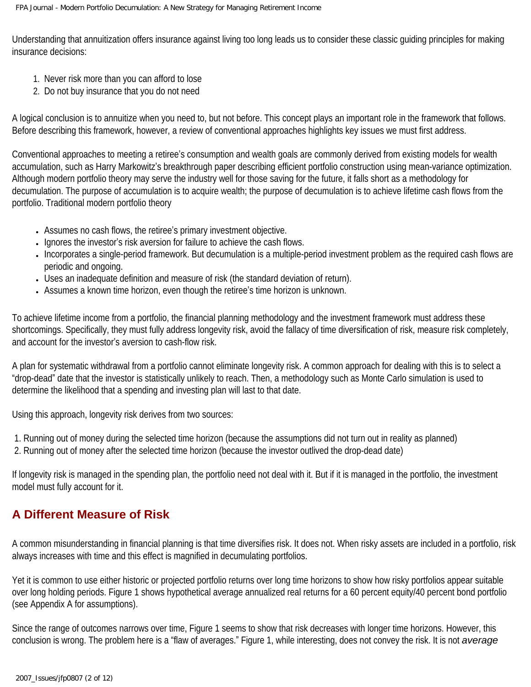Understanding that annuitization offers insurance against living too long leads us to consider these classic guiding principles for making insurance decisions:

- 1. Never risk more than you can afford to lose
- 2. Do not buy insurance that you do not need

A logical conclusion is to annuitize when you need to, but not before. This concept plays an important role in the framework that follows. Before describing this framework, however, a review of conventional approaches highlights key issues we must first address.

Conventional approaches to meeting a retiree's consumption and wealth goals are commonly derived from existing models for wealth accumulation, such as Harry Markowitz's breakthrough paper describing efficient portfolio construction using mean-variance optimization. Although modern portfolio theory may serve the industry well for those saving for the future, it falls short as a methodology for decumulation. The purpose of accumulation is to acquire wealth; the purpose of decumulation is to achieve lifetime cash flows from the portfolio. Traditional modern portfolio theory

- Assumes no cash flows, the retiree's primary investment objective.
- Ignores the investor's risk aversion for failure to achieve the cash flows.
- Incorporates a single-period framework. But decumulation is a multiple-period investment problem as the required cash flows are periodic and ongoing.
- Uses an inadequate definition and measure of risk (the standard deviation of return).
- Assumes a known time horizon, even though the retiree's time horizon is unknown.

To achieve lifetime income from a portfolio, the financial planning methodology and the investment framework must address these shortcomings. Specifically, they must fully address longevity risk, avoid the fallacy of time diversification of risk, measure risk completely, and account for the investor's aversion to cash-flow risk.

A plan for systematic withdrawal from a portfolio cannot eliminate longevity risk. A common approach for dealing with this is to select a "drop-dead" date that the investor is statistically unlikely to reach. Then, a methodology such as Monte Carlo simulation is used to determine the likelihood that a spending and investing plan will last to that date.

Using this approach, longevity risk derives from two sources:

- 1. Running out of money during the selected time horizon (because the assumptions did not turn out in reality as planned)
- 2. Running out of money after the selected time horizon (because the investor outlived the drop-dead date)

If longevity risk is managed in the spending plan, the portfolio need not deal with it. But if it is managed in the portfolio, the investment model must fully account for it.

# **A Different Measure of Risk**

A common misunderstanding in financial planning is that time diversifies risk. It does not. When risky assets are included in a portfolio, risk always increases with time and this effect is magnified in decumulating portfolios.

Yet it is common to use either historic or projected portfolio returns over long time horizons to show how risky portfolios appear suitable over long holding periods. Figure 1 shows hypothetical average annualized real returns for a 60 percent equity/40 percent bond portfolio (see Appendix A for assumptions).

Since the range of outcomes narrows over time, Figure 1 seems to show that risk decreases with longer time horizons. However, this conclusion is wrong. The problem here is a "flaw of averages." Figure 1, while interesting, does not convey the risk. It is not *average*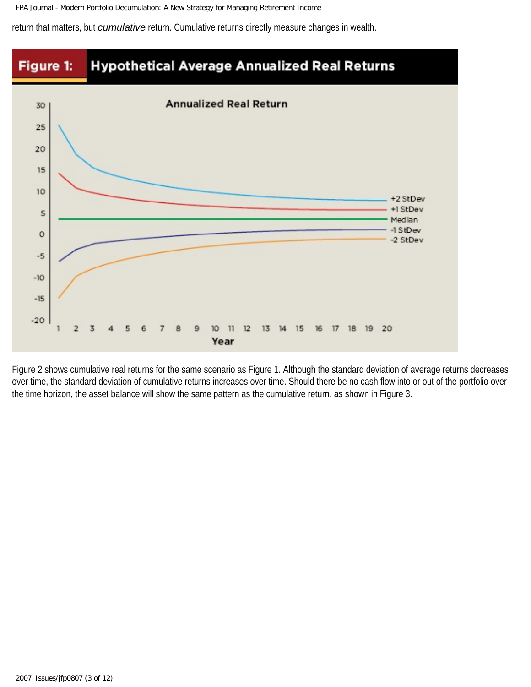return that matters, but *cumulative* return. Cumulative returns directly measure changes in wealth.



Figure 2 shows cumulative real returns for the same scenario as Figure 1. Although the standard deviation of average returns decreases over time, the standard deviation of cumulative returns increases over time. Should there be no cash flow into or out of the portfolio over the time horizon, the asset balance will show the same pattern as the cumulative return, as shown in Figure 3.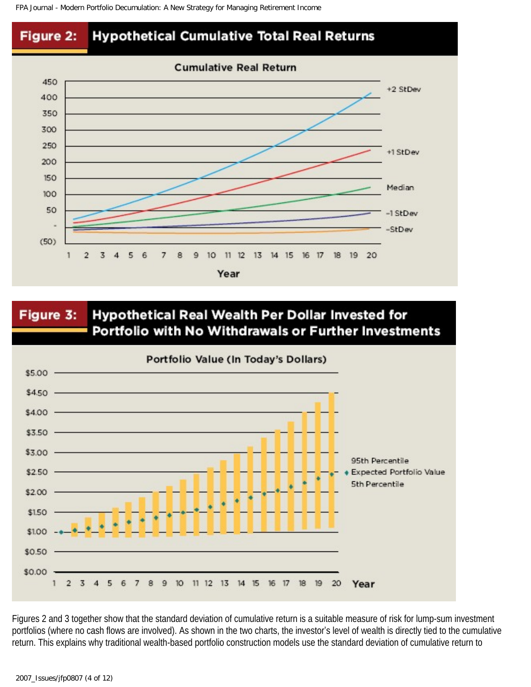



Hypothetical Real Wealth Per Dollar Invested for Portfolio with No Withdrawals or Further Investments



Figures 2 and 3 together show that the standard deviation of cumulative return is a suitable measure of risk for lump-sum investment portfolios (where no cash flows are involved). As shown in the two charts, the investor's level of wealth is directly tied to the cumulative return. This explains why traditional wealth-based portfolio construction models use the standard deviation of cumulative return to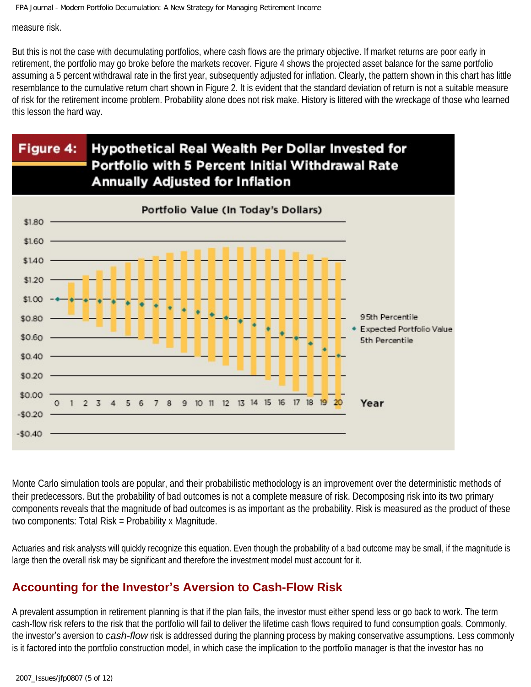measure risk.

But this is not the case with decumulating portfolios, where cash flows are the primary objective. If market returns are poor early in retirement, the portfolio may go broke before the markets recover. Figure 4 shows the projected asset balance for the same portfolio assuming a 5 percent withdrawal rate in the first year, subsequently adjusted for inflation. Clearly, the pattern shown in this chart has little resemblance to the cumulative return chart shown in Figure 2. It is evident that the standard deviation of return is not a suitable measure of risk for the retirement income problem. Probability alone does not risk make. History is littered with the wreckage of those who learned this lesson the hard way.



Monte Carlo simulation tools are popular, and their probabilistic methodology is an improvement over the deterministic methods of their predecessors. But the probability of bad outcomes is not a complete measure of risk. Decomposing risk into its two primary components reveals that the magnitude of bad outcomes is as important as the probability. Risk is measured as the product of these two components: Total Risk = Probability x Magnitude.

Actuaries and risk analysts will quickly recognize this equation. Even though the probability of a bad outcome may be small, if the magnitude is large then the overall risk may be significant and therefore the investment model must account for it.

# **Accounting for the Investor's Aversion to Cash-Flow Risk**

A prevalent assumption in retirement planning is that if the plan fails, the investor must either spend less or go back to work. The term cash-flow risk refers to the risk that the portfolio will fail to deliver the lifetime cash flows required to fund consumption goals. Commonly, the investor's aversion to *cash-flow* risk is addressed during the planning process by making conservative assumptions. Less commonly is it factored into the portfolio construction model, in which case the implication to the portfolio manager is that the investor has no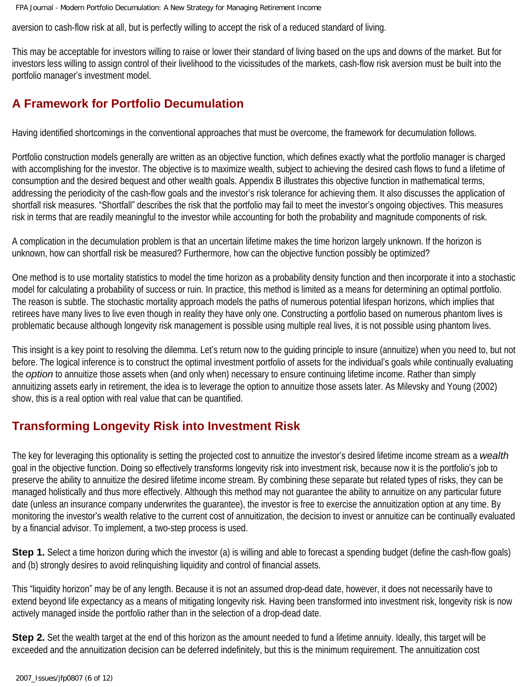aversion to cash-flow risk at all, but is perfectly willing to accept the risk of a reduced standard of living.

This may be acceptable for investors willing to raise or lower their standard of living based on the ups and downs of the market. But for investors less willing to assign control of their livelihood to the vicissitudes of the markets, cash-flow risk aversion must be built into the portfolio manager's investment model.

### **A Framework for Portfolio Decumulation**

Having identified shortcomings in the conventional approaches that must be overcome, the framework for decumulation follows.

Portfolio construction models generally are written as an objective function, which defines exactly what the portfolio manager is charged with accomplishing for the investor. The objective is to maximize wealth, subject to achieving the desired cash flows to fund a lifetime of consumption and the desired bequest and other wealth goals. Appendix B illustrates this objective function in mathematical terms, addressing the periodicity of the cash-flow goals and the investor's risk tolerance for achieving them. It also discusses the application of shortfall risk measures. "Shortfall" describes the risk that the portfolio may fail to meet the investor's ongoing objectives. This measures risk in terms that are readily meaningful to the investor while accounting for both the probability and magnitude components of risk.

A complication in the decumulation problem is that an uncertain lifetime makes the time horizon largely unknown. If the horizon is unknown, how can shortfall risk be measured? Furthermore, how can the objective function possibly be optimized?

One method is to use mortality statistics to model the time horizon as a probability density function and then incorporate it into a stochastic model for calculating a probability of success or ruin. In practice, this method is limited as a means for determining an optimal portfolio. The reason is subtle. The stochastic mortality approach models the paths of numerous potential lifespan horizons, which implies that retirees have many lives to live even though in reality they have only one. Constructing a portfolio based on numerous phantom lives is problematic because although longevity risk management is possible using multiple real lives, it is not possible using phantom lives.

This insight is a key point to resolving the dilemma. Let's return now to the guiding principle to insure (annuitize) when you need to, but not before. The logical inference is to construct the optimal investment portfolio of assets for the individual's goals while continually evaluating the *option* to annuitize those assets when (and only when) necessary to ensure continuing lifetime income. Rather than simply annuitizing assets early in retirement, the idea is to leverage the option to annuitize those assets later. As Milevsky and Young (2002) show, this is a real option with real value that can be quantified.

# **Transforming Longevity Risk into Investment Risk**

The key for leveraging this optionality is setting the projected cost to annuitize the investor's desired lifetime income stream as a *wealth* goal in the objective function. Doing so effectively transforms longevity risk into investment risk, because now it is the portfolio's job to preserve the ability to annuitize the desired lifetime income stream. By combining these separate but related types of risks, they can be managed holistically and thus more effectively. Although this method may not guarantee the ability to annuitize on any particular future date (unless an insurance company underwrites the guarantee), the investor is free to exercise the annuitization option at any time. By monitoring the investor's wealth relative to the current cost of annuitization, the decision to invest or annuitize can be continually evaluated by a financial advisor. To implement, a two-step process is used.

**Step 1.** Select a time horizon during which the investor (a) is willing and able to forecast a spending budget (define the cash-flow goals) and (b) strongly desires to avoid relinquishing liquidity and control of financial assets.

This "liquidity horizon" may be of any length. Because it is not an assumed drop-dead date, however, it does not necessarily have to extend beyond life expectancy as a means of mitigating longevity risk. Having been transformed into investment risk, longevity risk is now actively managed inside the portfolio rather than in the selection of a drop-dead date.

**Step 2.** Set the wealth target at the end of this horizon as the amount needed to fund a lifetime annuity. Ideally, this target will be exceeded and the annuitization decision can be deferred indefinitely, but this is the minimum requirement. The annuitization cost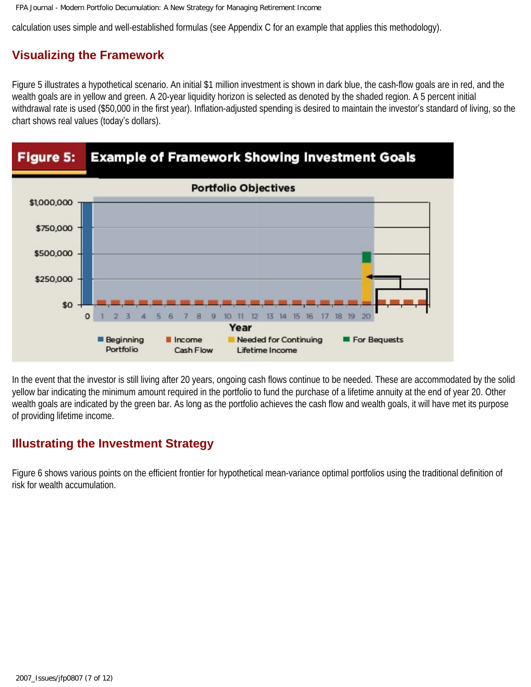calculation uses simple and well-established formulas (see Appendix C for an example that applies this methodology).

### **Visualizing the Framework**

Figure 5 illustrates a hypothetical scenario. An initial \$1 million investment is shown in dark blue, the cash-flow goals are in red, and the wealth goals are in yellow and green. A 20-year liquidity horizon is selected as denoted by the shaded region. A 5 percent initial withdrawal rate is used (\$50,000 in the first year). Inflation-adjusted spending is desired to maintain the investor's standard of living, so the chart shows real values (today's dollars).



In the event that the investor is still living after 20 years, ongoing cash flows continue to be needed. These are accommodated by the solid yellow bar indicating the minimum amount required in the portfolio to fund the purchase of a lifetime annuity at the end of year 20. Other wealth goals are indicated by the green bar. As long as the portfolio achieves the cash flow and wealth goals, it will have met its purpose of providing lifetime income.

#### **Illustrating the Investment Strategy**

Figure 6 shows various points on the efficient frontier for hypothetical mean-variance optimal portfolios using the traditional definition of risk for wealth accumulation.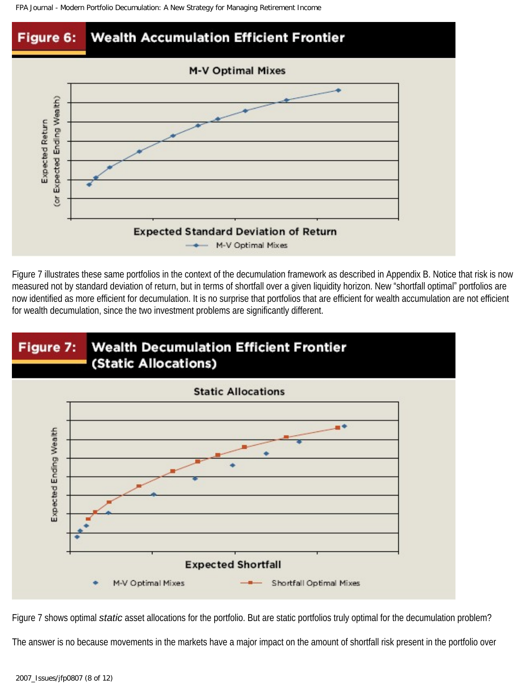

Figure 7 illustrates these same portfolios in the context of the decumulation framework as described in Appendix B. Notice that risk is now measured not by standard deviation of return, but in terms of shortfall over a given liquidity horizon. New "shortfall optimal" portfolios are now identified as more efficient for decumulation. It is no surprise that portfolios that are efficient for wealth accumulation are not efficient for wealth decumulation, since the two investment problems are significantly different.



Figure 7 shows optimal *static* asset allocations for the portfolio. But are static portfolios truly optimal for the decumulation problem?

The answer is no because movements in the markets have a major impact on the amount of shortfall risk present in the portfolio over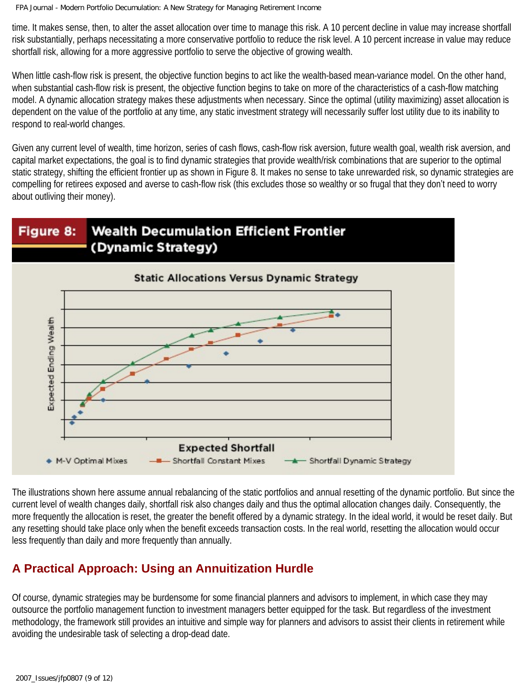time. It makes sense, then, to alter the asset allocation over time to manage this risk. A 10 percent decline in value may increase shortfall risk substantially, perhaps necessitating a more conservative portfolio to reduce the risk level. A 10 percent increase in value may reduce shortfall risk, allowing for a more aggressive portfolio to serve the objective of growing wealth.

When little cash-flow risk is present, the objective function begins to act like the wealth-based mean-variance model. On the other hand, when substantial cash-flow risk is present, the objective function begins to take on more of the characteristics of a cash-flow matching model. A dynamic allocation strategy makes these adjustments when necessary. Since the optimal (utility maximizing) asset allocation is dependent on the value of the portfolio at any time, any static investment strategy will necessarily suffer lost utility due to its inability to respond to real-world changes.

Given any current level of wealth, time horizon, series of cash flows, cash-flow risk aversion, future wealth goal, wealth risk aversion, and capital market expectations, the goal is to find dynamic strategies that provide wealth/risk combinations that are superior to the optimal static strategy, shifting the efficient frontier up as shown in Figure 8. It makes no sense to take unrewarded risk, so dynamic strategies are compelling for retirees exposed and averse to cash-flow risk (this excludes those so wealthy or so frugal that they don't need to worry about outliving their money).



The illustrations shown here assume annual rebalancing of the static portfolios and annual resetting of the dynamic portfolio. But since the current level of wealth changes daily, shortfall risk also changes daily and thus the optimal allocation changes daily. Consequently, the more frequently the allocation is reset, the greater the benefit offered by a dynamic strategy. In the ideal world, it would be reset daily. But any resetting should take place only when the benefit exceeds transaction costs. In the real world, resetting the allocation would occur less frequently than daily and more frequently than annually.

# **A Practical Approach: Using an Annuitization Hurdle**

Of course, dynamic strategies may be burdensome for some financial planners and advisors to implement, in which case they may outsource the portfolio management function to investment managers better equipped for the task. But regardless of the investment methodology, the framework still provides an intuitive and simple way for planners and advisors to assist their clients in retirement while avoiding the undesirable task of selecting a drop-dead date.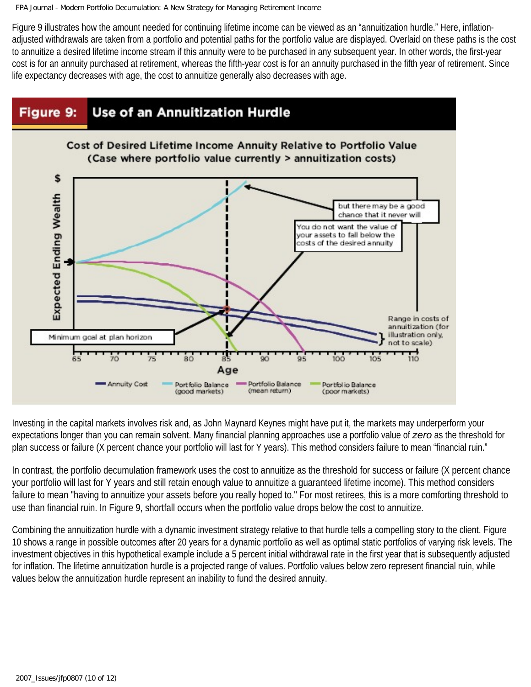Figure 9 illustrates how the amount needed for continuing lifetime income can be viewed as an "annuitization hurdle." Here, inflationadjusted withdrawals are taken from a portfolio and potential paths for the portfolio value are displayed. Overlaid on these paths is the cost to annuitize a desired lifetime income stream if this annuity were to be purchased in any subsequent year. In other words, the first-year cost is for an annuity purchased at retirement, whereas the fifth-year cost is for an annuity purchased in the fifth year of retirement. Since life expectancy decreases with age, the cost to annuitize generally also decreases with age.

#### Figure 9: **Use of an Annuitization Hurdle**



Investing in the capital markets involves risk and, as John Maynard Keynes might have put it, the markets may underperform your expectations longer than you can remain solvent. Many financial planning approaches use a portfolio value of *zero* as the threshold for plan success or failure (X percent chance your portfolio will last for Y years). This method considers failure to mean "financial ruin."

In contrast, the portfolio decumulation framework uses the cost to annuitize as the threshold for success or failure (X percent chance your portfolio will last for Y years and still retain enough value to annuitize a guaranteed lifetime income). This method considers failure to mean "having to annuitize your assets before you really hoped to." For most retirees, this is a more comforting threshold to use than financial ruin. In Figure 9, shortfall occurs when the portfolio value drops below the cost to annuitize.

Combining the annuitization hurdle with a dynamic investment strategy relative to that hurdle tells a compelling story to the client. Figure 10 shows a range in possible outcomes after 20 years for a dynamic portfolio as well as optimal static portfolios of varying risk levels. The investment objectives in this hypothetical example include a 5 percent initial withdrawal rate in the first year that is subsequently adjusted for inflation. The lifetime annuitization hurdle is a projected range of values. Portfolio values below zero represent financial ruin, while values below the annuitization hurdle represent an inability to fund the desired annuity.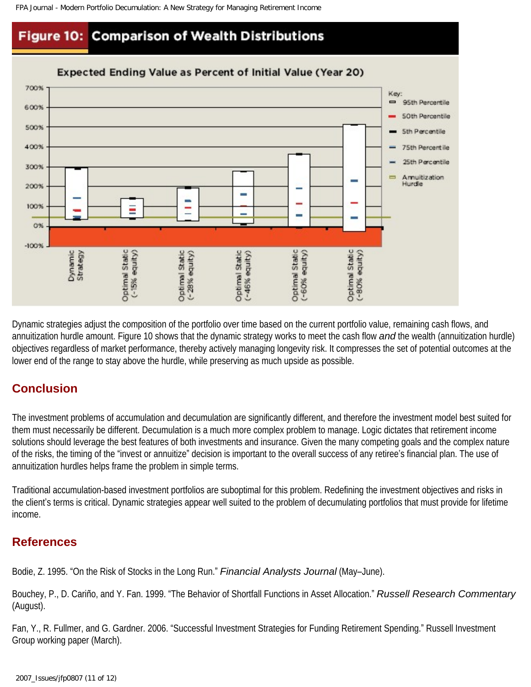#### **Comparison of Wealth Distributions Figure 10:**

#### **Expected Ending Value as Percent of Initial Value (Year 20)** 700% Key: 95th Percentile  $\blacksquare$ 600% 50th Percentile 500% 5th Percentile 400% 75th Percentile 25th Percentile 300% Amuitization Hurdle 200% Ξ 100% Ξ 0%  $-100%$ Dynamic<br>Strategy **Optimal Static**  $(-15%$  equity) **Optimal Static**  $(-60%$  equity) **Optimal Static Optimal Static** (~80% equity) Optimal Static  $(-28%$  equity)  $(-46%$ equity

Dynamic strategies adjust the composition of the portfolio over time based on the current portfolio value, remaining cash flows, and annuitization hurdle amount. Figure 10 shows that the dynamic strategy works to meet the cash flow *and* the wealth (annuitization hurdle) objectives regardless of market performance, thereby actively managing longevity risk. It compresses the set of potential outcomes at the lower end of the range to stay above the hurdle, while preserving as much upside as possible.

#### **Conclusion**

The investment problems of accumulation and decumulation are significantly different, and therefore the investment model best suited for them must necessarily be different. Decumulation is a much more complex problem to manage. Logic dictates that retirement income solutions should leverage the best features of both investments and insurance. Given the many competing goals and the complex nature of the risks, the timing of the "invest or annuitize" decision is important to the overall success of any retiree's financial plan. The use of annuitization hurdles helps frame the problem in simple terms.

Traditional accumulation-based investment portfolios are suboptimal for this problem. Redefining the investment objectives and risks in the client's terms is critical. Dynamic strategies appear well suited to the problem of decumulating portfolios that must provide for lifetime income.

#### **References**

Bodie, Z. 1995. "On the Risk of Stocks in the Long Run." *Financial Analysts Journal* (May–June).

Bouchey, P., D. Cariño, and Y. Fan. 1999. "The Behavior of Shortfall Functions in Asset Allocation." *Russell Research Commentary* (August).

Fan, Y., R. Fullmer, and G. Gardner. 2006. "Successful Investment Strategies for Funding Retirement Spending." Russell Investment Group working paper (March).